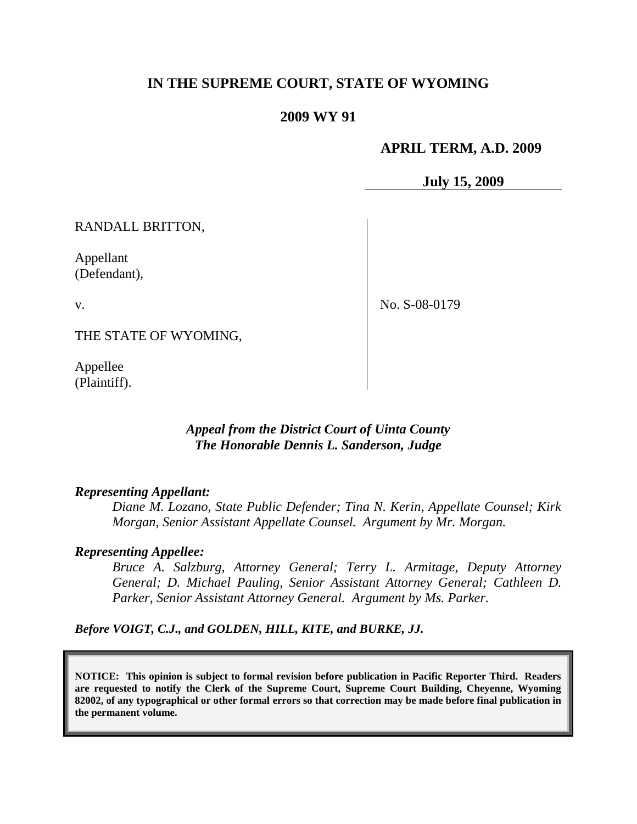# **IN THE SUPREME COURT, STATE OF WYOMING**

#### **2009 WY 91**

#### **APRIL TERM, A.D. 2009**

**July 15, 2009**

RANDALL BRITTON,

Appellant (Defendant),

v.

No. S-08-0179

THE STATE OF WYOMING,

Appellee (Plaintiff).

## *Appeal from the District Court of Uinta County The Honorable Dennis L. Sanderson, Judge*

#### *Representing Appellant:*

*Diane M. Lozano, State Public Defender; Tina N. Kerin, Appellate Counsel; Kirk Morgan, Senior Assistant Appellate Counsel. Argument by Mr. Morgan.*

#### *Representing Appellee:*

*Bruce A. Salzburg, Attorney General; Terry L. Armitage, Deputy Attorney General; D. Michael Pauling, Senior Assistant Attorney General; Cathleen D. Parker, Senior Assistant Attorney General. Argument by Ms. Parker.*

*Before VOIGT, C.J., and GOLDEN, HILL, KITE, and BURKE, JJ.*

**NOTICE: This opinion is subject to formal revision before publication in Pacific Reporter Third. Readers are requested to notify the Clerk of the Supreme Court, Supreme Court Building, Cheyenne, Wyoming 82002, of any typographical or other formal errors so that correction may be made before final publication in the permanent volume.**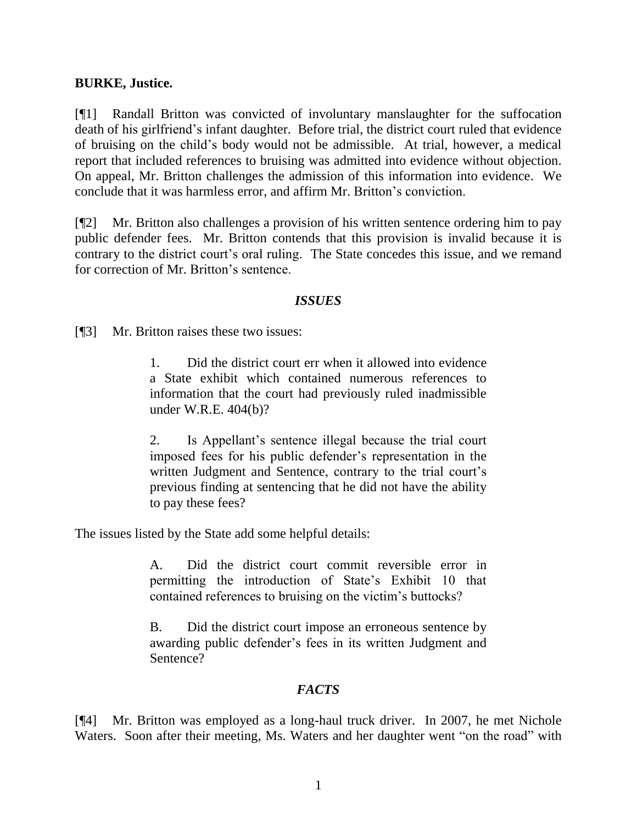### **BURKE, Justice.**

[¶1] Randall Britton was convicted of involuntary manslaughter for the suffocation death of his girlfriend"s infant daughter. Before trial, the district court ruled that evidence of bruising on the child"s body would not be admissible. At trial, however, a medical report that included references to bruising was admitted into evidence without objection. On appeal, Mr. Britton challenges the admission of this information into evidence. We conclude that it was harmless error, and affirm Mr. Britton"s conviction.

[¶2] Mr. Britton also challenges a provision of his written sentence ordering him to pay public defender fees. Mr. Britton contends that this provision is invalid because it is contrary to the district court's oral ruling. The State concedes this issue, and we remand for correction of Mr. Britton"s sentence.

## *ISSUES*

[¶3] Mr. Britton raises these two issues:

1. Did the district court err when it allowed into evidence a State exhibit which contained numerous references to information that the court had previously ruled inadmissible under W.R.E. 404(b)?

2. Is Appellant"s sentence illegal because the trial court imposed fees for his public defender"s representation in the written Judgment and Sentence, contrary to the trial court's previous finding at sentencing that he did not have the ability to pay these fees?

The issues listed by the State add some helpful details:

A. Did the district court commit reversible error in permitting the introduction of State"s Exhibit 10 that contained references to bruising on the victim"s buttocks?

B. Did the district court impose an erroneous sentence by awarding public defender"s fees in its written Judgment and Sentence?

# *FACTS*

[¶4] Mr. Britton was employed as a long-haul truck driver. In 2007, he met Nichole Waters. Soon after their meeting, Ms. Waters and her daughter went "on the road" with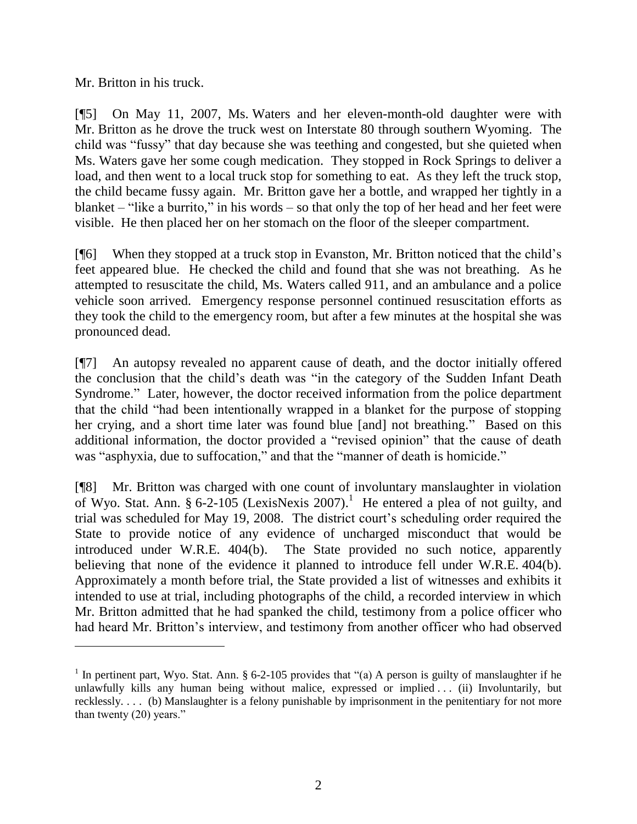Mr. Britton in his truck.

 $\overline{a}$ 

[¶5] On May 11, 2007, Ms. Waters and her eleven-month-old daughter were with Mr. Britton as he drove the truck west on Interstate 80 through southern Wyoming. The child was "fussy" that day because she was teething and congested, but she quieted when Ms. Waters gave her some cough medication. They stopped in Rock Springs to deliver a load, and then went to a local truck stop for something to eat. As they left the truck stop, the child became fussy again. Mr. Britton gave her a bottle, and wrapped her tightly in a blanket – "like a burrito," in his words – so that only the top of her head and her feet were visible. He then placed her on her stomach on the floor of the sleeper compartment.

[¶6] When they stopped at a truck stop in Evanston, Mr. Britton noticed that the child"s feet appeared blue. He checked the child and found that she was not breathing. As he attempted to resuscitate the child, Ms. Waters called 911, and an ambulance and a police vehicle soon arrived. Emergency response personnel continued resuscitation efforts as they took the child to the emergency room, but after a few minutes at the hospital she was pronounced dead.

[¶7] An autopsy revealed no apparent cause of death, and the doctor initially offered the conclusion that the child"s death was "in the category of the Sudden Infant Death Syndrome." Later, however, the doctor received information from the police department that the child "had been intentionally wrapped in a blanket for the purpose of stopping her crying, and a short time later was found blue [and] not breathing." Based on this additional information, the doctor provided a "revised opinion" that the cause of death was "asphyxia, due to suffocation," and that the "manner of death is homicide."

[¶8] Mr. Britton was charged with one count of involuntary manslaughter in violation of Wyo. Stat. Ann. § 6-2-105 (LexisNexis 2007).<sup>1</sup> He entered a plea of not guilty, and trial was scheduled for May 19, 2008. The district court's scheduling order required the State to provide notice of any evidence of uncharged misconduct that would be introduced under W.R.E. 404(b). The State provided no such notice, apparently believing that none of the evidence it planned to introduce fell under W.R.E. 404(b). Approximately a month before trial, the State provided a list of witnesses and exhibits it intended to use at trial, including photographs of the child, a recorded interview in which Mr. Britton admitted that he had spanked the child, testimony from a police officer who had heard Mr. Britton's interview, and testimony from another officer who had observed

<sup>&</sup>lt;sup>1</sup> In pertinent part, Wyo. Stat. Ann. § 6-2-105 provides that "(a) A person is guilty of manslaughter if he unlawfully kills any human being without malice, expressed or implied . . . (ii) Involuntarily, but recklessly. . . . (b) Manslaughter is a felony punishable by imprisonment in the penitentiary for not more than twenty (20) years."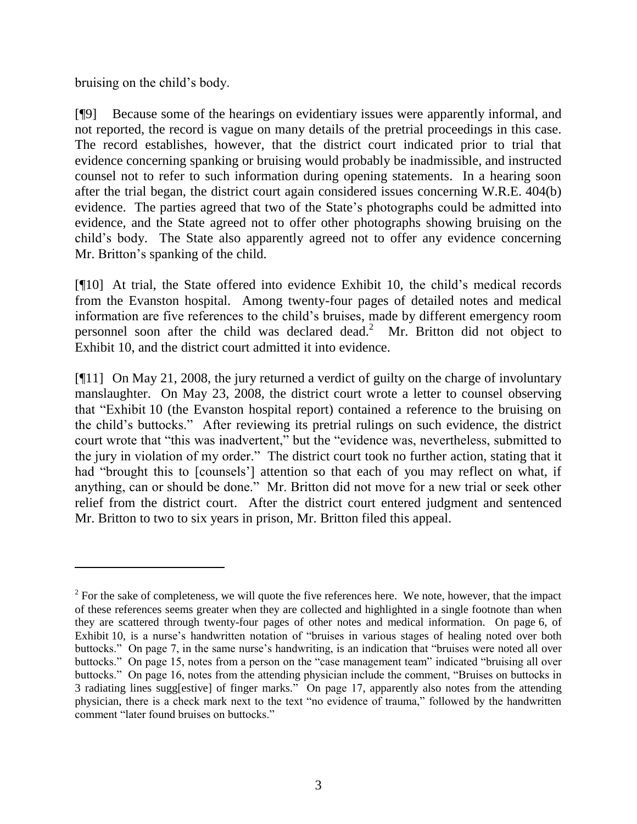bruising on the child"s body.

[¶9] Because some of the hearings on evidentiary issues were apparently informal, and not reported, the record is vague on many details of the pretrial proceedings in this case. The record establishes, however, that the district court indicated prior to trial that evidence concerning spanking or bruising would probably be inadmissible, and instructed counsel not to refer to such information during opening statements. In a hearing soon after the trial began, the district court again considered issues concerning W.R.E. 404(b) evidence. The parties agreed that two of the State"s photographs could be admitted into evidence, and the State agreed not to offer other photographs showing bruising on the child"s body. The State also apparently agreed not to offer any evidence concerning Mr. Britton"s spanking of the child.

[¶10] At trial, the State offered into evidence Exhibit 10, the child"s medical records from the Evanston hospital. Among twenty-four pages of detailed notes and medical information are five references to the child"s bruises, made by different emergency room personnel soon after the child was declared dead. 2 Mr. Britton did not object to Exhibit 10, and the district court admitted it into evidence.

[¶11] On May 21, 2008, the jury returned a verdict of guilty on the charge of involuntary manslaughter. On May 23, 2008, the district court wrote a letter to counsel observing that "Exhibit 10 (the Evanston hospital report) contained a reference to the bruising on the child"s buttocks." After reviewing its pretrial rulings on such evidence, the district court wrote that "this was inadvertent," but the "evidence was, nevertheless, submitted to the jury in violation of my order." The district court took no further action, stating that it had "brought this to [counsels'] attention so that each of you may reflect on what, if anything, can or should be done." Mr. Britton did not move for a new trial or seek other relief from the district court. After the district court entered judgment and sentenced Mr. Britton to two to six years in prison, Mr. Britton filed this appeal.

 $2^{2}$  For the sake of completeness, we will quote the five references here. We note, however, that the impact of these references seems greater when they are collected and highlighted in a single footnote than when they are scattered through twenty-four pages of other notes and medical information. On page 6, of Exhibit 10, is a nurse's handwritten notation of "bruises in various stages of healing noted over both buttocks." On page 7, in the same nurse's handwriting, is an indication that "bruises were noted all over buttocks." On page 15, notes from a person on the "case management team" indicated "bruising all over buttocks." On page 16, notes from the attending physician include the comment, "Bruises on buttocks in 3 radiating lines sugg[estive] of finger marks." On page 17, apparently also notes from the attending physician, there is a check mark next to the text "no evidence of trauma," followed by the handwritten comment "later found bruises on buttocks."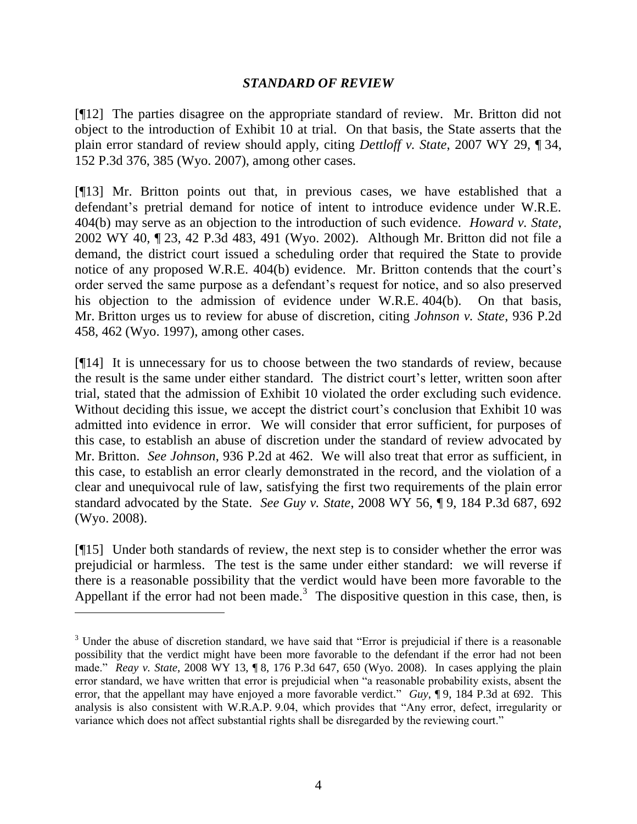## *STANDARD OF REVIEW*

[¶12] The parties disagree on the appropriate standard of review. Mr. Britton did not object to the introduction of Exhibit 10 at trial. On that basis, the State asserts that the plain error standard of review should apply, citing *Dettloff v. State*, 2007 WY 29, ¶ 34, 152 P.3d 376, 385 (Wyo. 2007), among other cases.

[¶13] Mr. Britton points out that, in previous cases, we have established that a defendant's pretrial demand for notice of intent to introduce evidence under W.R.E. 404(b) may serve as an objection to the introduction of such evidence. *Howard v. State*, 2002 WY 40, ¶ 23, 42 P.3d 483, 491 (Wyo. 2002). Although Mr. Britton did not file a demand, the district court issued a scheduling order that required the State to provide notice of any proposed W.R.E. 404(b) evidence. Mr. Britton contends that the court's order served the same purpose as a defendant"s request for notice, and so also preserved his objection to the admission of evidence under W.R.E. 404(b). On that basis, Mr. Britton urges us to review for abuse of discretion, citing *Johnson v. State*, 936 P.2d 458, 462 (Wyo. 1997), among other cases.

[¶14] It is unnecessary for us to choose between the two standards of review, because the result is the same under either standard. The district court's letter, written soon after trial, stated that the admission of Exhibit 10 violated the order excluding such evidence. Without deciding this issue, we accept the district court's conclusion that Exhibit 10 was admitted into evidence in error. We will consider that error sufficient, for purposes of this case, to establish an abuse of discretion under the standard of review advocated by Mr. Britton. *See Johnson*, 936 P.2d at 462. We will also treat that error as sufficient, in this case, to establish an error clearly demonstrated in the record, and the violation of a clear and unequivocal rule of law, satisfying the first two requirements of the plain error standard advocated by the State. *See Guy v. State*, 2008 WY 56, ¶ 9, 184 P.3d 687, 692 (Wyo. 2008).

[¶15] Under both standards of review, the next step is to consider whether the error was prejudicial or harmless. The test is the same under either standard: we will reverse if there is a reasonable possibility that the verdict would have been more favorable to the Appellant if the error had not been made.<sup>3</sup> The dispositive question in this case, then, is

 $\overline{a}$ 

<sup>&</sup>lt;sup>3</sup> Under the abuse of discretion standard, we have said that "Error is prejudicial if there is a reasonable possibility that the verdict might have been more favorable to the defendant if the error had not been made." *Reay v. State*, 2008 WY 13, ¶ 8, 176 P.3d 647, 650 (Wyo. 2008). In cases applying the plain error standard, we have written that error is prejudicial when "a reasonable probability exists, absent the error, that the appellant may have enjoyed a more favorable verdict." *Guy*, ¶ 9, 184 P.3d at 692. This analysis is also consistent with W.R.A.P. 9.04, which provides that "Any error, defect, irregularity or variance which does not affect substantial rights shall be disregarded by the reviewing court."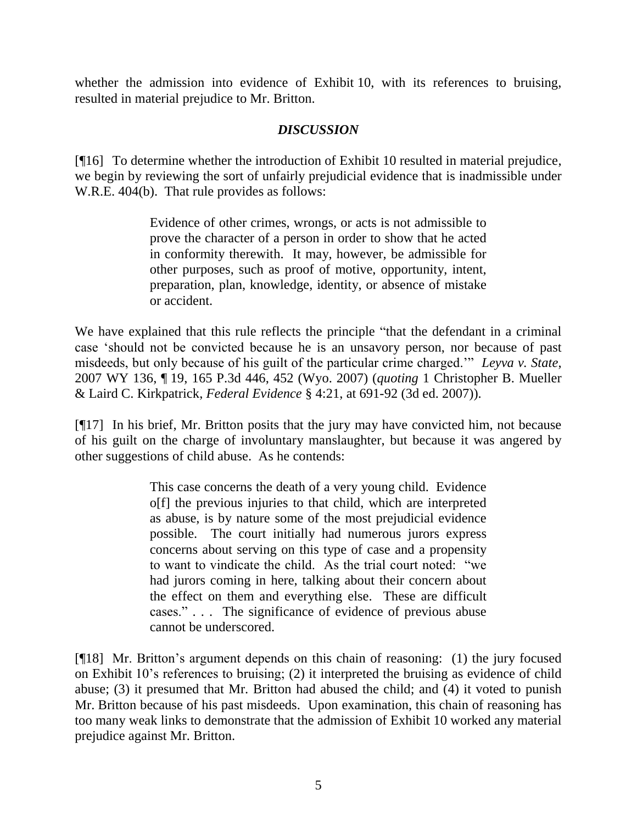whether the admission into evidence of Exhibit 10, with its references to bruising, resulted in material prejudice to Mr. Britton.

# *DISCUSSION*

[¶16] To determine whether the introduction of Exhibit 10 resulted in material prejudice, we begin by reviewing the sort of unfairly prejudicial evidence that is inadmissible under W.R.E. 404(b). That rule provides as follows:

> Evidence of other crimes, wrongs, or acts is not admissible to prove the character of a person in order to show that he acted in conformity therewith. It may, however, be admissible for other purposes, such as proof of motive, opportunity, intent, preparation, plan, knowledge, identity, or absence of mistake or accident.

We have explained that this rule reflects the principle "that the defendant in a criminal case "should not be convicted because he is an unsavory person, nor because of past misdeeds, but only because of his guilt of the particular crime charged."" *Leyva v. State*, 2007 WY 136, ¶ 19, 165 P.3d 446, 452 (Wyo. 2007) (*quoting* 1 Christopher B. Mueller & Laird C. Kirkpatrick, *Federal Evidence* § 4:21, at 691-92 (3d ed. 2007)).

[¶17] In his brief, Mr. Britton posits that the jury may have convicted him, not because of his guilt on the charge of involuntary manslaughter, but because it was angered by other suggestions of child abuse. As he contends:

> This case concerns the death of a very young child. Evidence o[f] the previous injuries to that child, which are interpreted as abuse, is by nature some of the most prejudicial evidence possible. The court initially had numerous jurors express concerns about serving on this type of case and a propensity to want to vindicate the child. As the trial court noted: "we had jurors coming in here, talking about their concern about the effect on them and everything else. These are difficult cases." . . . The significance of evidence of previous abuse cannot be underscored.

[¶18] Mr. Britton"s argument depends on this chain of reasoning: (1) the jury focused on Exhibit 10"s references to bruising; (2) it interpreted the bruising as evidence of child abuse; (3) it presumed that Mr. Britton had abused the child; and (4) it voted to punish Mr. Britton because of his past misdeeds. Upon examination, this chain of reasoning has too many weak links to demonstrate that the admission of Exhibit 10 worked any material prejudice against Mr. Britton.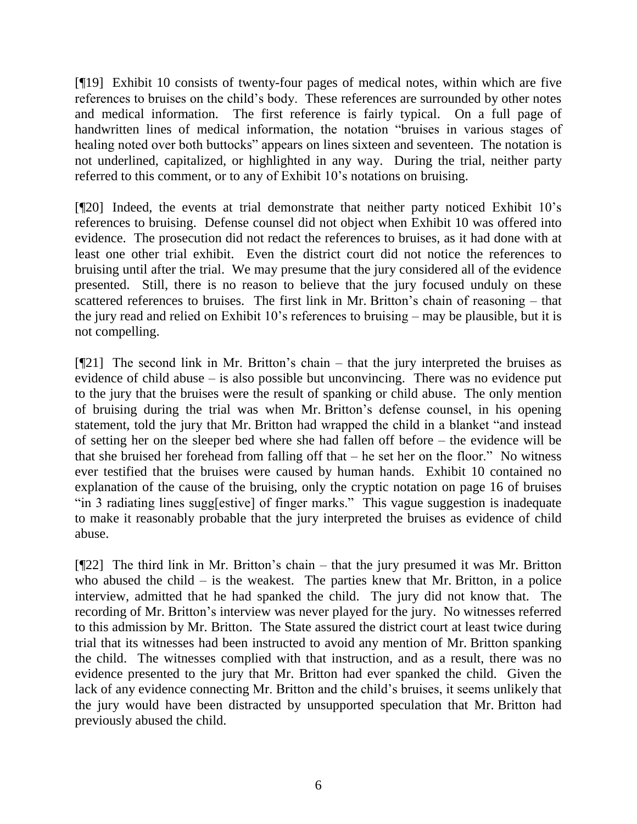[¶19] Exhibit 10 consists of twenty-four pages of medical notes, within which are five references to bruises on the child"s body. These references are surrounded by other notes and medical information. The first reference is fairly typical. On a full page of handwritten lines of medical information, the notation "bruises in various stages of healing noted over both buttocks" appears on lines sixteen and seventeen. The notation is not underlined, capitalized, or highlighted in any way. During the trial, neither party referred to this comment, or to any of Exhibit 10"s notations on bruising.

[¶20] Indeed, the events at trial demonstrate that neither party noticed Exhibit 10"s references to bruising. Defense counsel did not object when Exhibit 10 was offered into evidence. The prosecution did not redact the references to bruises, as it had done with at least one other trial exhibit. Even the district court did not notice the references to bruising until after the trial. We may presume that the jury considered all of the evidence presented. Still, there is no reason to believe that the jury focused unduly on these scattered references to bruises. The first link in Mr. Britton's chain of reasoning – that the jury read and relied on Exhibit 10"s references to bruising – may be plausible, but it is not compelling.

 $[$ [[21] The second link in Mr. Britton's chain – that the jury interpreted the bruises as evidence of child abuse – is also possible but unconvincing. There was no evidence put to the jury that the bruises were the result of spanking or child abuse. The only mention of bruising during the trial was when Mr. Britton"s defense counsel, in his opening statement, told the jury that Mr. Britton had wrapped the child in a blanket "and instead of setting her on the sleeper bed where she had fallen off before – the evidence will be that she bruised her forehead from falling off that – he set her on the floor." No witness ever testified that the bruises were caused by human hands. Exhibit 10 contained no explanation of the cause of the bruising, only the cryptic notation on page 16 of bruises "in 3 radiating lines sugg[estive] of finger marks." This vague suggestion is inadequate to make it reasonably probable that the jury interpreted the bruises as evidence of child abuse.

[¶22] The third link in Mr. Britton"s chain – that the jury presumed it was Mr. Britton who abused the child  $-$  is the weakest. The parties knew that Mr. Britton, in a police interview, admitted that he had spanked the child. The jury did not know that. The recording of Mr. Britton"s interview was never played for the jury. No witnesses referred to this admission by Mr. Britton. The State assured the district court at least twice during trial that its witnesses had been instructed to avoid any mention of Mr. Britton spanking the child. The witnesses complied with that instruction, and as a result, there was no evidence presented to the jury that Mr. Britton had ever spanked the child. Given the lack of any evidence connecting Mr. Britton and the child"s bruises, it seems unlikely that the jury would have been distracted by unsupported speculation that Mr. Britton had previously abused the child.